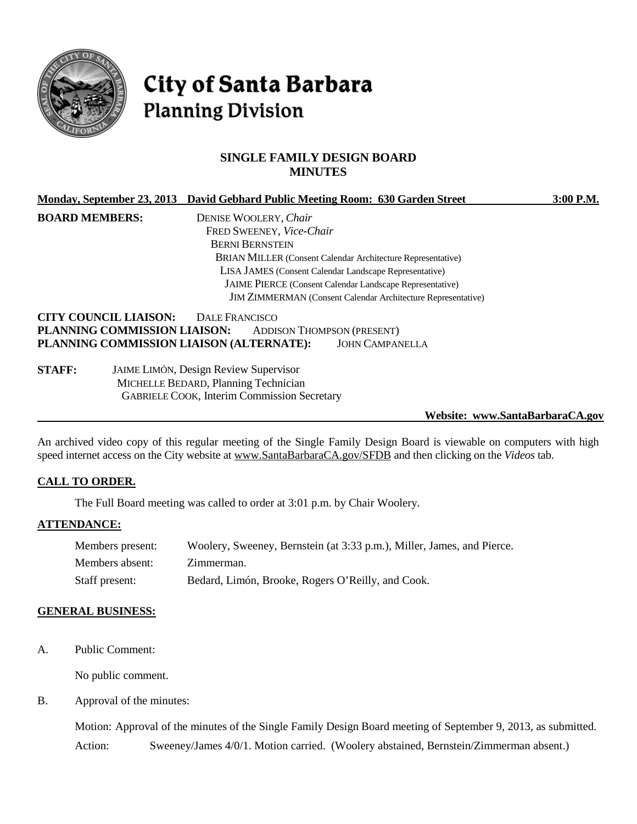

# City of Santa Barbara **Planning Division**

# **SINGLE FAMILY DESIGN BOARD MINUTES**

|                                          | Monday, September 23, 2013 David Gebhard Public Meeting Room: 630 Garden Street | $3:00$ P.M. |
|------------------------------------------|---------------------------------------------------------------------------------|-------------|
| <b>BOARD MEMBERS:</b>                    | DENISE WOOLERY, Chair                                                           |             |
|                                          | FRED SWEENEY, Vice-Chair                                                        |             |
|                                          | <b>BERNI BERNSTEIN</b>                                                          |             |
|                                          | <b>BRIAN MILLER (Consent Calendar Architecture Representative)</b>              |             |
|                                          | LISA JAMES (Consent Calendar Landscape Representative)                          |             |
|                                          | JAIME PIERCE (Consent Calendar Landscape Representative)                        |             |
|                                          | <b>JIM ZIMMERMAN</b> (Consent Calendar Architecture Representative)             |             |
| <b>CITY COUNCIL LIAISON:</b>             | DALE FRANCISCO                                                                  |             |
| PLANNING COMMISSION LIAISON:             | <b>ADDISON THOMPSON (PRESENT)</b>                                               |             |
| PLANNING COMMISSION LIAISON (ALTERNATE): | <b>JOHN CAMPANELLA</b>                                                          |             |
| <b>CTALL.</b>                            | LUI LUIGU Docion Doview Cupervisor                                              |             |

**STAFF:** JAIME LIMÓN, Design Review Supervisor MICHELLE BEDARD, Planning Technician GABRIELE COOK, Interim Commission Secretary

**Website: www.SantaBarbaraCA.gov**

An archived video copy of this regular meeting of the Single Family Design Board is viewable on computers with high speed internet access on the City website at [www.SantaBarbaraCA.gov/SFDB](http://www.santabarbaraca.gov/SFDB) and then clicking on the *Videos* tab.

#### **CALL TO ORDER.**

The Full Board meeting was called to order at 3:01 p.m. by Chair Woolery.

#### **ATTENDANCE:**

| Members present: | Woolery, Sweeney, Bernstein (at 3:33 p.m.), Miller, James, and Pierce. |
|------------------|------------------------------------------------------------------------|
| Members absent:  | Zimmerman.                                                             |
| Staff present:   | Bedard, Limón, Brooke, Rogers O'Reilly, and Cook.                      |

#### **GENERAL BUSINESS:**

A. Public Comment:

No public comment.

B. Approval of the minutes:

Motion: Approval of the minutes of the Single Family Design Board meeting of September 9, 2013, as submitted. Action: Sweeney/James 4/0/1. Motion carried. (Woolery abstained, Bernstein/Zimmerman absent.)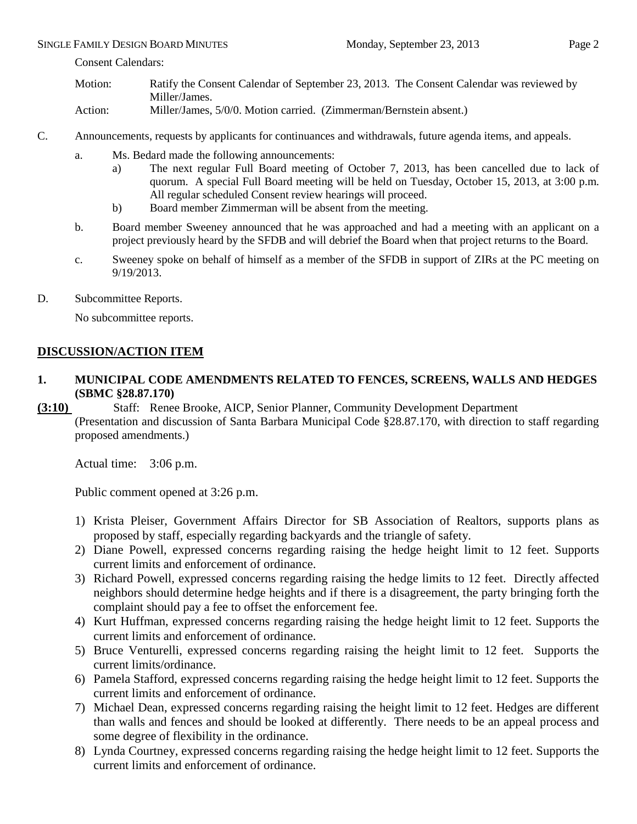#### SINGLE FAMILY DESIGN BOARD MINUTES Monday, September 23, 2013 Page 2

Consent Calendars:

- Motion: Ratify the Consent Calendar of September 23, 2013. The Consent Calendar was reviewed by Miller/James.
- Action: Miller/James, 5/0/0. Motion carried. (Zimmerman/Bernstein absent.)
- C. Announcements, requests by applicants for continuances and withdrawals, future agenda items, and appeals.
	- a. Ms. Bedard made the following announcements:
		- a) The next regular Full Board meeting of October 7, 2013, has been cancelled due to lack of quorum. A special Full Board meeting will be held on Tuesday, October 15, 2013, at 3:00 p.m. All regular scheduled Consent review hearings will proceed.
		- b) Board member Zimmerman will be absent from the meeting.
	- b. Board member Sweeney announced that he was approached and had a meeting with an applicant on a project previously heard by the SFDB and will debrief the Board when that project returns to the Board.
	- c. Sweeney spoke on behalf of himself as a member of the SFDB in support of ZIRs at the PC meeting on 9/19/2013.
- D. Subcommittee Reports.

No subcommittee reports.

# **DISCUSSION/ACTION ITEM**

- **1. MUNICIPAL CODE AMENDMENTS RELATED TO FENCES, SCREENS, WALLS AND HEDGES (SBMC §28.87.170)**
- **(3:10)** Staff: Renee Brooke, AICP, Senior Planner, Community Development Department (Presentation and discussion of Santa Barbara Municipal Code §28.87.170, with direction to staff regarding proposed amendments.)

Actual time: 3:06 p.m.

Public comment opened at 3:26 p.m.

- 1) Krista Pleiser, Government Affairs Director for SB Association of Realtors, supports plans as proposed by staff, especially regarding backyards and the triangle of safety.
- 2) Diane Powell, expressed concerns regarding raising the hedge height limit to 12 feet. Supports current limits and enforcement of ordinance.
- 3) Richard Powell, expressed concerns regarding raising the hedge limits to 12 feet. Directly affected neighbors should determine hedge heights and if there is a disagreement, the party bringing forth the complaint should pay a fee to offset the enforcement fee.
- 4) Kurt Huffman, expressed concerns regarding raising the hedge height limit to 12 feet. Supports the current limits and enforcement of ordinance.
- 5) Bruce Venturelli, expressed concerns regarding raising the height limit to 12 feet. Supports the current limits/ordinance.
- 6) Pamela Stafford, expressed concerns regarding raising the hedge height limit to 12 feet. Supports the current limits and enforcement of ordinance.
- 7) Michael Dean, expressed concerns regarding raising the height limit to 12 feet. Hedges are different than walls and fences and should be looked at differently. There needs to be an appeal process and some degree of flexibility in the ordinance.
- 8) Lynda Courtney, expressed concerns regarding raising the hedge height limit to 12 feet. Supports the current limits and enforcement of ordinance.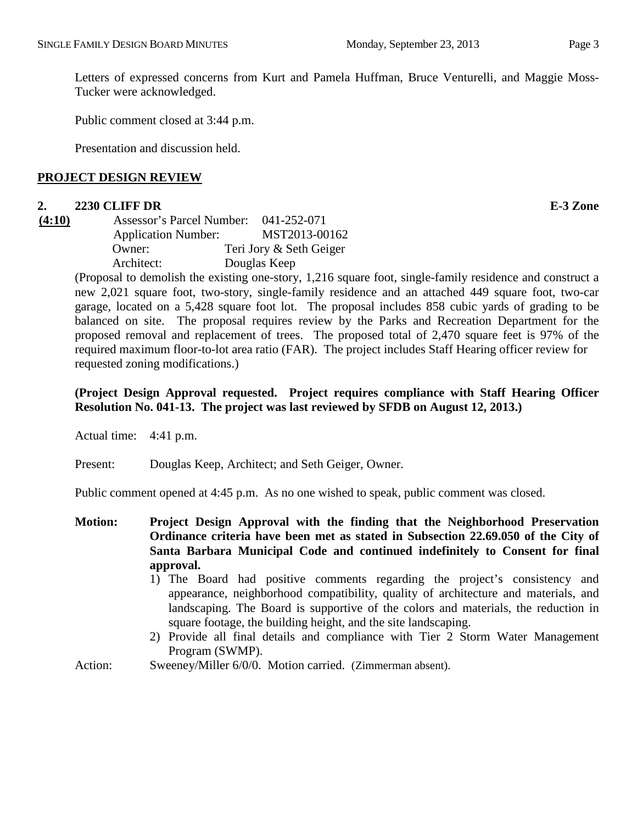Letters of expressed concerns from Kurt and Pamela Huffman, Bruce Venturelli, and Maggie Moss-Tucker were acknowledged.

Public comment closed at 3:44 p.m.

Presentation and discussion held.

#### **PROJECT DESIGN REVIEW**

#### **2. 2230 CLIFF DR E-3 Zone**

| (4:10) | Assessor's Parcel Number:  | 041-252-071             |
|--------|----------------------------|-------------------------|
|        | <b>Application Number:</b> | MST2013-00162           |
|        | Owner:                     | Teri Jory & Seth Geiger |
|        | Architect:                 | Douglas Keep            |

(Proposal to demolish the existing one-story, 1,216 square foot, single-family residence and construct a new 2,021 square foot, two-story, single-family residence and an attached 449 square foot, two-car garage, located on a 5,428 square foot lot. The proposal includes 858 cubic yards of grading to be balanced on site. The proposal requires review by the Parks and Recreation Department for the proposed removal and replacement of trees. The proposed total of 2,470 square feet is 97% of the required maximum floor-to-lot area ratio (FAR). The project includes Staff Hearing officer review for requested zoning modifications.)

### **(Project Design Approval requested. Project requires compliance with Staff Hearing Officer Resolution No. 041-13. The project was last reviewed by SFDB on August 12, 2013.)**

Actual time: 4:41 p.m.

Present: Douglas Keep, Architect; and Seth Geiger, Owner.

Public comment opened at 4:45 p.m. As no one wished to speak, public comment was closed.

- **Motion: Project Design Approval with the finding that the Neighborhood Preservation Ordinance criteria have been met as stated in Subsection 22.69.050 of the City of Santa Barbara Municipal Code and continued indefinitely to Consent for final approval.**
	- 1) The Board had positive comments regarding the project's consistency and appearance, neighborhood compatibility, quality of architecture and materials, and landscaping. The Board is supportive of the colors and materials, the reduction in square footage, the building height, and the site landscaping.
	- 2) Provide all final details and compliance with Tier 2 Storm Water Management Program (SWMP).
- Action: Sweeney/Miller 6/0/0. Motion carried. (Zimmerman absent).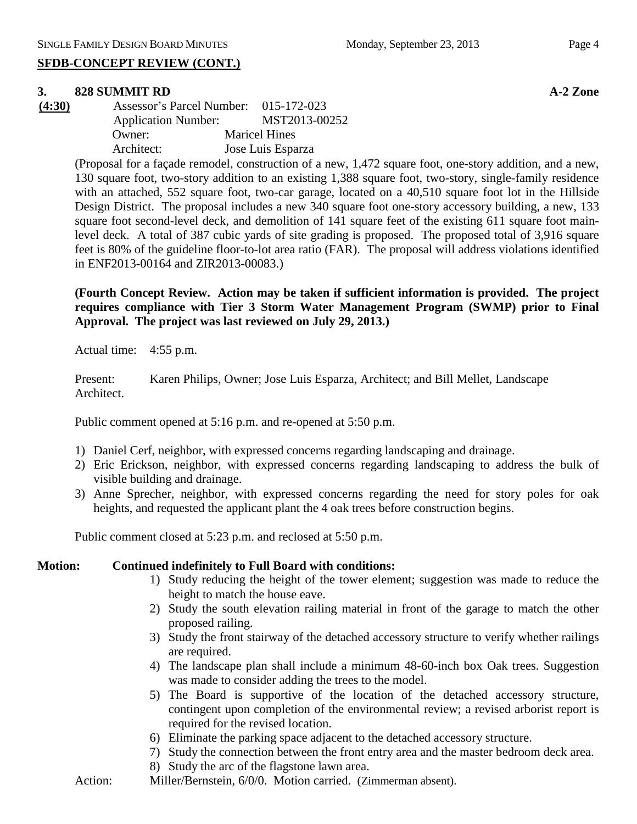# **SFDB-CONCEPT REVIEW (CONT.)**

# **3. 828 SUMMIT RD A-2 Zone**

**(4:30)** Assessor's Parcel Number: 015-172-023 Application Number: MST2013-00252 Owner: Maricel Hines Architect: Jose Luis Esparza

> (Proposal for a façade remodel, construction of a new, 1,472 square foot, one-story addition, and a new, 130 square foot, two-story addition to an existing 1,388 square foot, two-story, single-family residence with an attached, 552 square foot, two-car garage, located on a 40,510 square foot lot in the Hillside Design District. The proposal includes a new 340 square foot one-story accessory building, a new, 133 square foot second-level deck, and demolition of 141 square feet of the existing 611 square foot mainlevel deck. A total of 387 cubic yards of site grading is proposed. The proposed total of 3,916 square feet is 80% of the guideline floor-to-lot area ratio (FAR). The proposal will address violations identified in ENF2013-00164 and ZIR2013-00083.)

> **(Fourth Concept Review. Action may be taken if sufficient information is provided. The project requires compliance with Tier 3 Storm Water Management Program (SWMP) prior to Final Approval. The project was last reviewed on July 29, 2013.)**

Actual time: 4:55 p.m.

Present: Karen Philips, Owner; Jose Luis Esparza, Architect; and Bill Mellet, Landscape Architect.

Public comment opened at 5:16 p.m. and re-opened at 5:50 p.m.

- 1) Daniel Cerf, neighbor, with expressed concerns regarding landscaping and drainage.
- 2) Eric Erickson, neighbor, with expressed concerns regarding landscaping to address the bulk of visible building and drainage.
- 3) Anne Sprecher, neighbor, with expressed concerns regarding the need for story poles for oak heights, and requested the applicant plant the 4 oak trees before construction begins.

Public comment closed at 5:23 p.m. and reclosed at 5:50 p.m.

#### **Motion: Continued indefinitely to Full Board with conditions:**

- 1) Study reducing the height of the tower element; suggestion was made to reduce the height to match the house eave.
- 2) Study the south elevation railing material in front of the garage to match the other proposed railing.
- 3) Study the front stairway of the detached accessory structure to verify whether railings are required.
- 4) The landscape plan shall include a minimum 48-60-inch box Oak trees. Suggestion was made to consider adding the trees to the model.
- 5) The Board is supportive of the location of the detached accessory structure, contingent upon completion of the environmental review; a revised arborist report is required for the revised location.
- 6) Eliminate the parking space adjacent to the detached accessory structure.
- 7) Study the connection between the front entry area and the master bedroom deck area.
- 8) Study the arc of the flagstone lawn area.
- Action: Miller/Bernstein, 6/0/0. Motion carried. (Zimmerman absent).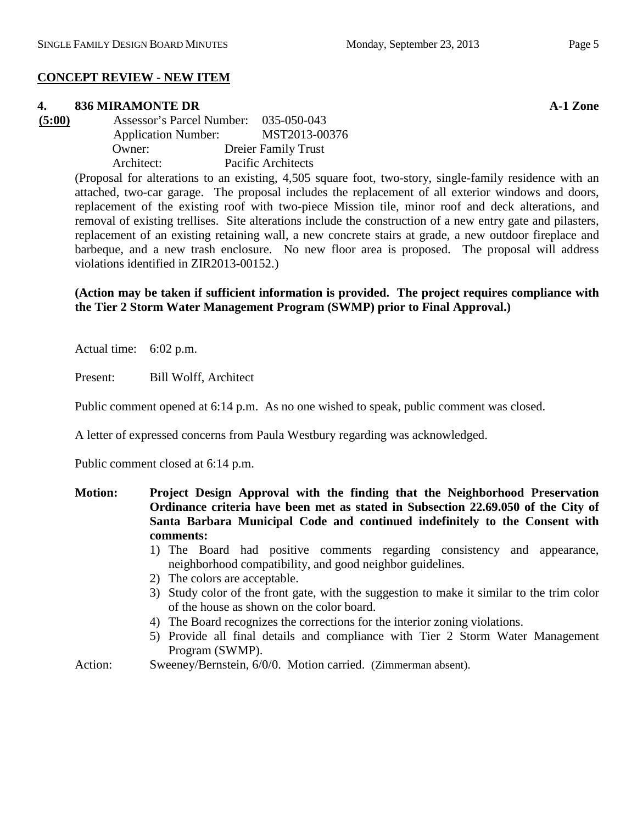# **CONCEPT REVIEW - NEW ITEM**

#### **4. 836 MIRAMONTE DR A-1 Zone**

**(5:00)** Assessor's Parcel Number: 035-050-043 Application Number: MST2013-00376 Owner: Dreier Family Trust Architect: Pacific Architects

> (Proposal for alterations to an existing, 4,505 square foot, two-story, single-family residence with an attached, two-car garage. The proposal includes the replacement of all exterior windows and doors, replacement of the existing roof with two-piece Mission tile, minor roof and deck alterations, and removal of existing trellises. Site alterations include the construction of a new entry gate and pilasters, replacement of an existing retaining wall, a new concrete stairs at grade, a new outdoor fireplace and barbeque, and a new trash enclosure. No new floor area is proposed. The proposal will address violations identified in ZIR2013-00152.)

#### **(Action may be taken if sufficient information is provided. The project requires compliance with the Tier 2 Storm Water Management Program (SWMP) prior to Final Approval.)**

Actual time: 6:02 p.m.

Present: Bill Wolff, Architect

Public comment opened at 6:14 p.m. As no one wished to speak, public comment was closed.

A letter of expressed concerns from Paula Westbury regarding was acknowledged.

Public comment closed at 6:14 p.m.

- **Motion: Project Design Approval with the finding that the Neighborhood Preservation Ordinance criteria have been met as stated in Subsection 22.69.050 of the City of Santa Barbara Municipal Code and continued indefinitely to the Consent with comments:**
	- 1) The Board had positive comments regarding consistency and appearance, neighborhood compatibility, and good neighbor guidelines.
	- 2) The colors are acceptable.
	- 3) Study color of the front gate, with the suggestion to make it similar to the trim color of the house as shown on the color board.
	- 4) The Board recognizes the corrections for the interior zoning violations.
	- 5) Provide all final details and compliance with Tier 2 Storm Water Management Program (SWMP).
- Action: Sweeney/Bernstein, 6/0/0. Motion carried. (Zimmerman absent).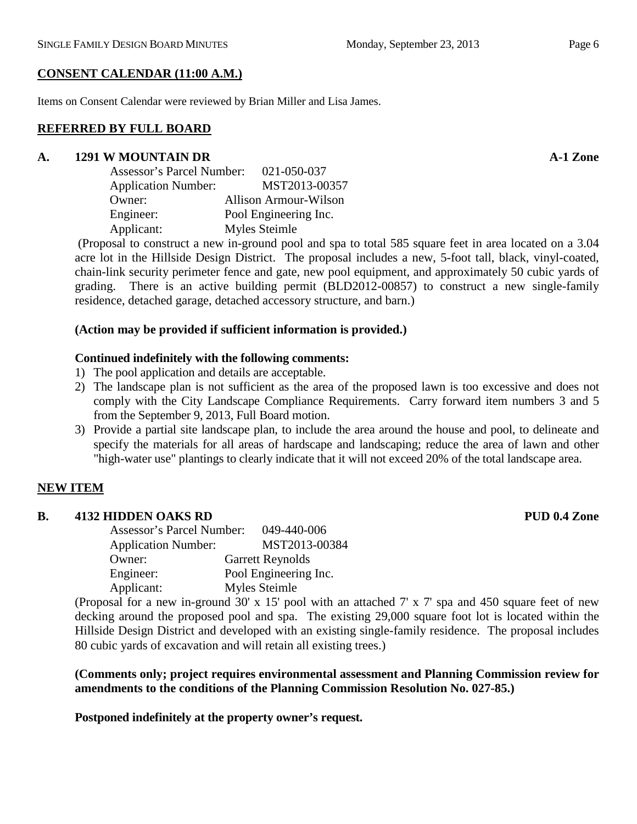Items on Consent Calendar were reviewed by Brian Miller and Lisa James.

#### **REFERRED BY FULL BOARD**

#### **A. 1291 W MOUNTAIN DR A-1 Zone**

| <b>Assessor's Parcel Number:</b> | 021-050-037                  |
|----------------------------------|------------------------------|
| <b>Application Number:</b>       | MST2013-00357                |
| Owner:                           | <b>Allison Armour-Wilson</b> |
| Engineer:                        | Pool Engineering Inc.        |
| Applicant:                       | Myles Steimle                |

(Proposal to construct a new in-ground pool and spa to total 585 square feet in area located on a 3.04 acre lot in the Hillside Design District. The proposal includes a new, 5-foot tall, black, vinyl-coated, chain-link security perimeter fence and gate, new pool equipment, and approximately 50 cubic yards of grading. There is an active building permit (BLD2012-00857) to construct a new single-family residence, detached garage, detached accessory structure, and barn.)

### **(Action may be provided if sufficient information is provided.)**

### **Continued indefinitely with the following comments:**

- 1) The pool application and details are acceptable.
- 2) The landscape plan is not sufficient as the area of the proposed lawn is too excessive and does not comply with the City Landscape Compliance Requirements. Carry forward item numbers 3 and 5 from the September 9, 2013, Full Board motion.
- 3) Provide a partial site landscape plan, to include the area around the house and pool, to delineate and specify the materials for all areas of hardscape and landscaping; reduce the area of lawn and other "high-water use" plantings to clearly indicate that it will not exceed 20% of the total landscape area.

# **NEW ITEM**

# **B. 4132 HIDDEN OAKS RD PUD 0.4 Zone**

| <b>Assessor's Parcel Number:</b> | 049-440-006             |
|----------------------------------|-------------------------|
| <b>Application Number:</b>       | MST2013-00384           |
| Owner:                           | <b>Garrett Reynolds</b> |
| Engineer:                        | Pool Engineering Inc.   |
| Applicant:                       | Myles Steimle           |

(Proposal for a new in-ground 30' x 15' pool with an attached 7' x 7' spa and 450 square feet of new decking around the proposed pool and spa. The existing 29,000 square foot lot is located within the Hillside Design District and developed with an existing single-family residence. The proposal includes 80 cubic yards of excavation and will retain all existing trees.)

**(Comments only; project requires environmental assessment and Planning Commission review for amendments to the conditions of the Planning Commission Resolution No. 027-85.)**

**Postponed indefinitely at the property owner's request.**